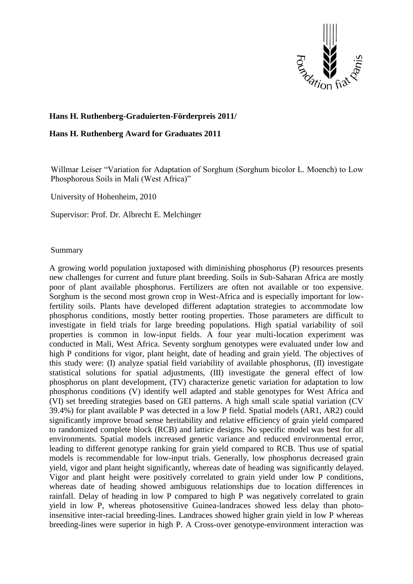

## **Hans H. Ruthenberg-Graduierten-Förderpreis 2011/**

## **Hans H. Ruthenberg Award for Graduates 2011**

Willmar Leiser "Variation for Adaptation of Sorghum (Sorghum bicolor L. Moench) to Low Phosphorous Soils in Mali (West Africa)"

University of Hohenheim, 2010

Supervisor: Prof. Dr. Albrecht E. Melchinger

## Summary

A growing world population juxtaposed with diminishing phosphorus (P) resources presents new challenges for current and future plant breeding. Soils in Sub-Saharan Africa are mostly poor of plant available phosphorus. Fertilizers are often not available or too expensive. Sorghum is the second most grown crop in West-Africa and is especially important for lowfertility soils. Plants have developed different adaptation strategies to accommodate low phosphorus conditions, mostly better rooting properties. Those parameters are difficult to investigate in field trials for large breeding populations. High spatial variability of soil properties is common in low-input fields. A four year multi-location experiment was conducted in Mali, West Africa. Seventy sorghum genotypes were evaluated under low and high P conditions for vigor, plant height, date of heading and grain yield. The objectives of this study were: (I) analyze spatial field variability of available phosphorus, (II) investigate statistical solutions for spatial adjustments, (III) investigate the general effect of low phosphorus on plant development, (TV) characterize genetic variation for adaptation to low phosphorus conditions (V) identify well adapted and stable genotypes for West Africa and (VI) set breeding strategies based on GEI patterns. A high small scale spatial variation (CV 39.4%) for plant available P was detected in a low P field. Spatial models (AR1, AR2) could significantly improve broad sense heritability and relative efficiency of grain yield compared to randomized complete block (RCB) and lattice designs. No specific model was best for all environments. Spatial models increased genetic variance and reduced environmental error, leading to different genotype ranking for grain yield compared to RCB. Thus use of spatial models is recommendable for low-input trials. Generally, low phosphorus decreased grain yield, vigor and plant height significantly, whereas date of heading was significantly delayed. Vigor and plant height were positively correlated to grain yield under low P conditions, whereas date of heading showed ambiguous relationships due to location differences in rainfall. Delay of heading in low P compared to high P was negatively correlated to grain yield in low P, whereas photosensitive Guinea-landraces showed less delay than photoinsensitive inter-racial breeding-lines. Landraces showed higher grain yield in low P whereas breeding-lines were superior in high P. A Cross-over genotype-environment interaction was